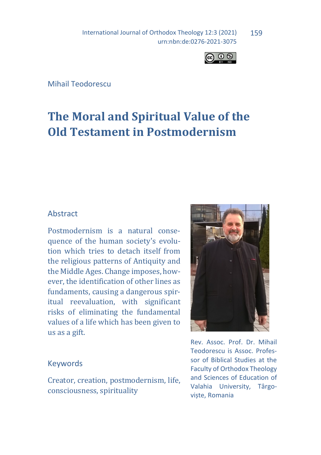International Journal of Orthodox Theology 12:3 (2021) urn:nbn:de:0276-2021-3075 159



Mihail Teodorescu

# **The Moral and Spiritual Value of the Old Testament in Postmodernism**

#### Abstract

Postmodernism is a natural consequence of the human society's evolution which tries to detach itself from the religious patterns of Antiquity and the Middle Ages. Change imposes, however, the identification of other lines as fundaments, causing a dangerous spiritual reevaluation, with significant risks of eliminating the fundamental values of a life which has been given to us as a gift.

#### Keywords

Creator, creation, postmodernism, life, consciousness, spirituality



Rev. Assoc. Prof. Dr. Mihail Teodorescu is Assoc. Professor of Biblical Studies at the Faculty of Orthodox Theology and Sciences of Education of Valahia University, Târgoviște, Romania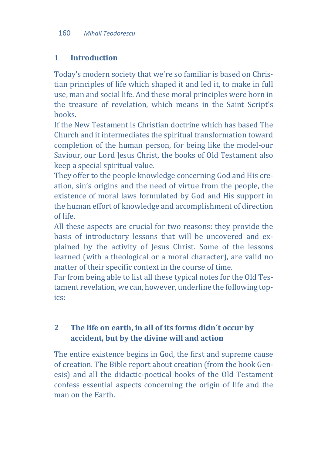## **1 Introduction**

Today's modern society that we're so familiar is based on Christian principles of life which shaped it and led it, to make in full use, man and social life. And these moral principles were born in the treasure of revelation, which means in the Saint Script's books.

If the New Testament is Christian doctrine which has based The Church and it intermediates the spiritual transformation toward completion of the human person, for being like the model-our Saviour, our Lord Jesus Christ, the books of Old Testament also keep a special spiritual value.

They offer to the people knowledge concerning God and His creation, sin's origins and the need of virtue from the people, the existence of moral laws formulated by God and His support in the human effort of knowledge and accomplishment of direction of life.

All these aspects are crucial for two reasons: they provide the basis of introductory lessons that will be uncovered and explained by the activity of Jesus Christ. Some of the lessons learned (with a theological or a moral character), are valid no matter of their specific context in the course of time.

Far from being able to list all these typical notes for the Old Testament revelation, we can, however, underline the following topics:

# **2 The life on earth, in all of its forms didn´t occur by accident, but by the divine will and action**

The entire existence begins in God, the first and supreme cause of creation. The Bible report about creation (from the book Genesis) and all the didactic-poetical books of the Old Testament confess essential aspects concerning the origin of life and the man on the Earth.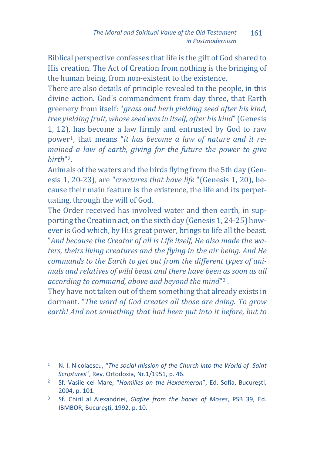Biblical perspective confesses that life is the gift of God shared to His creation. The Act of Creation from nothing is the bringing of the human being, from non-existent to the existence.

There are also details of principle revealed to the people, in this divine action. God's commandment from day three, that Earth greenery from itself: "*grass and herb yielding seed after his kind, tree yielding fruit, whose seed was in itself, after his kind*" (Genesis 1, 12), has become a law firmly and entrusted by God to raw power[1,](#page-2-0) that means "*it has become a law of nature and it remained a law of earth, giving for the future the power to give birth*"[2.](#page-2-1)

Animals of the waters and the birds flying from the 5th day (Genesis 1, 20-23), are "*creatures that have life* "(Genesis 1, 20), because their main feature is the existence, the life and its perpetuating, through the will of God.

The Order received has involved water and then earth, in supporting the Creation act, on the sixth day (Genesis 1, 24-25) however is God which, by His great power, brings to life all the beast. "*And because the Creator of all is Life itself, He also made the waters, theirs living creatures and the flying in the air being. And He commands to the Earth to get out from the different types of animals and relatives of wild beast and there have been as soon as all according to command, above and beyond the mind*["3](#page-2-2) .

They have not taken out of them something that already exists in dormant. "*The word of God creates all those are doing. To grow earth! And not something that had been put into it before, but to* 

<span id="page-2-0"></span><sup>&</sup>lt;sup>1</sup> N. I. Nicolaescu, "The social mission of the Church into the World of Saint *Scriptures*", Rev. Ortodoxia, Nr.1/1951, p. 46.

<span id="page-2-1"></span><sup>2</sup> Sf. Vasile cel Mare, "*Homilies on the Hexaemeron*", Ed. Sofia, Bucureşti, 2004, p. 101.

<span id="page-2-2"></span><sup>3</sup> Sf. Chiril al Alexandriei, *Glafire from the books of Moses*, PSB 39, Ed. IBMBOR, Bucureşti, 1992, p. 10.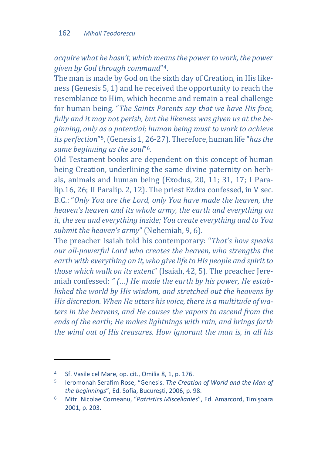*acquire what he hasn't, which means the power to work, the power given by God through command*"[4](#page-3-0).

The man is made by God on the sixth day of Creation, in His likeness (Genesis 5, 1) and he received the opportunity to reach the resemblance to Him, which become and remain a real challenge for human being. "*The Saints Parents say that we have His face, fully and it may not perish, but the likeness was given us at the beginning, only as a potential; human being must to work to achieve its perfection*"[5,](#page-3-1) (Genesis 1, [26](#page-3-2)-27). Therefore, human life "*has the same beginning as the soul*"6.

Old Testament books are dependent on this concept of human being Creation, underlining the same divine paternity on herbals, animals and human being (Exodus, 20, 11; 31, 17; I Paralip.16, 26; II Paralip. 2, 12). The priest Ezdra confessed, in V sec. B.C.: "*Only You are the Lord, only You have made the heaven, the heaven's heaven and its whole army, the earth and everything on it, the sea and everything inside; You create everything and to You submit the heaven's army*" (Nehemiah, 9, 6).

The preacher Isaiah told his contemporary: "*That's how speaks our all-powerful Lord who creates the heaven, who strengths the earth with everything on it, who give life to His people and spirit to those which walk on its extent*" (Isaiah, 42, 5). The preacher Jeremiah confessed: *" (…) He made the earth by his power, He established the world by His wisdom, and stretched out the heavens by His discretion. When He utters his voice, there is a multitude of waters in the heavens, and He causes the vapors to ascend from the ends of the earth; He makes lightnings with rain, and brings forth the wind out of His treasures. How ignorant the man is, in all his* 

<span id="page-3-0"></span><sup>4</sup> Sf. Vasile cel Mare, op. cit., Omilia 8, 1, p. 176.

<span id="page-3-1"></span><sup>5</sup> Ieromonah Serafim Rose, "Genesis. *The Creation of World and the Man of the beginnings*", Ed. Sofia, Bucureşti, 2006, p. 98.

<span id="page-3-2"></span><sup>6</sup> Mitr. Nicolae Corneanu, "*Patristics Miscellanies*", Ed. Amarcord, Timişoara 2001, p. 203.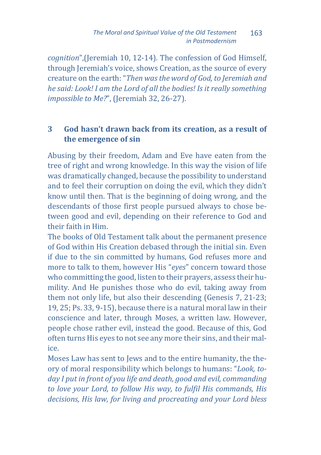*cognition*",(Jeremiah 10, 12-14). The confession of God Himself, through Jeremiah's voice, shows Creation, as the source of every creature on the earth: "*Then was the word of God, to Jeremiah and he said: Look! I am the Lord of all the bodies! Is it really something impossible to Me?*", (Jeremiah 32, 26-27).

#### **3 God hasn't drawn back from its creation, as a result of the emergence of sin**

Abusing by their freedom, Adam and Eve have eaten from the tree of right and wrong knowledge. In this way the vision of life was dramatically changed, because the possibility to understand and to feel their corruption on doing the evil, which they didn't know until then. That is the beginning of doing wrong, and the descendants of those first people pursued always to chose between good and evil, depending on their reference to God and their faith in Him.

The books of Old Testament talk about the permanent presence of God within His Creation debased through the initial sin. Even if due to the sin committed by humans, God refuses more and more to talk to them, however His "*eyes*" concern toward those who committing the good, listen to their prayers, assess their humility. And He punishes those who do evil, taking away from them not only life, but also their descending (Genesis 7, 21-23; 19, 25; Ps. 33, 9-15), because there is a natural moral law in their conscience and later, through Moses, a written law. However, people chose rather evil, instead the good. Because of this, God often turns His eyes to not see any more their sins, and their malice.

Moses Law has sent to Jews and to the entire humanity, the theory of moral responsibility which belongs to humans: "*Look, today I put in front of you life and death, good and evil, commanding to love your Lord, to follow His way, to fulfil His commands, His decisions, His law, for living and procreating and your Lord bless*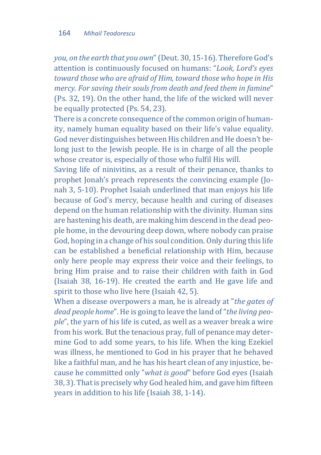*you, on the earth that you own*" (Deut. 30, 15-16). Therefore God's attention is continuously focused on humans: "*Look, Lord's eyes toward those who are afraid of Him, toward those who hope in His mercy. For saving their souls from death and feed them in famine*" (Ps. 32, 19). On the other hand, the life of the wicked will never be equally protected (Ps. 54, 23).

There is a concrete consequence of the common origin of humanity, namely human equality based on their life's value equality. God never distinguishes between His children and He doesn't belong just to the Jewish people. He is in charge of all the people whose creator is, especially of those who fulfil His will.

Saving life of ninivitins, as a result of their penance, thanks to prophet Jonah's preach represents the convincing example (Jonah 3, 5-10). Prophet Isaiah underlined that man enjoys his life because of God's mercy, because health and curing of diseases depend on the human relationship with the divinity. Human sins are hastening his death, are making him descend in the dead people home, in the devouring deep down, where nobody can praise God, hoping in a change of his soul condition. Only during this life can be established a beneficial relationship with Him, because only here people may express their voice and their feelings, to bring Him praise and to raise their children with faith in God (Isaiah 38, 16-19). He created the earth and He gave life and spirit to those who live here (Isaiah 42, 5).

When a disease overpowers a man, he is already at "*the gates of dead people home*". He is going to leave the land of "*the living people*", the yarn of his life is cuted, as well as a weaver break a wire from his work. But the tenacious pray, full of penance may determine God to add some years, to his life. When the king Ezekiel was illness, he mentioned to God in his prayer that he behaved like a faithful man, and he has his heart clean of any injustice, because he committed only "*what is good*" before God eyes (Isaiah 38, 3). That is precisely why God healed him, and gave him fifteen years in addition to his life (Isaiah 38, 1-14).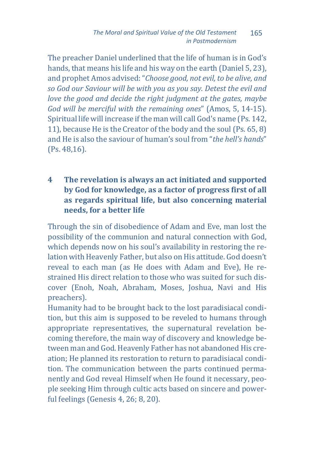The preacher Daniel underlined that the life of human is in God's hands, that means his life and his way on the earth (Daniel 5, 23), and prophet Amos advised: "*Choose good, not evil, to be alive, and so God our Saviour will be with you as you say. Detest the evil and love the good and decide the right judgment at the gates, maybe God will be merciful with the remaining ones*" (Amos, 5, 14-15). Spiritual life will increase if the man will call God's name (Ps. 142, 11), because He is the Creator of the body and the soul (Ps. 65, 8) and He is also the saviour of human's soul from "*the hell's hands*" (Ps. 48,16).

## **4 The revelation is always an act initiated and supported by God for knowledge, as a factor of progress first of all as regards spiritual life, but also concerning material needs, for a better life**

Through the sin of disobedience of Adam and Eve, man lost the possibility of the communion and natural connection with God, which depends now on his soul's availability in restoring the relation with Heavenly Father, but also on His attitude. God doesn't reveal to each man (as He does with Adam and Eve), He restrained His direct relation to those who was suited for such discover (Enoh, Noah, Abraham, Moses, Joshua, Navi and His preachers).

Humanity had to be brought back to the lost paradisiacal condition, but this aim is supposed to be reveled to humans through appropriate representatives, the supernatural revelation becoming therefore, the main way of discovery and knowledge between man and God. Heavenly Father has not abandoned His creation; He planned its restoration to return to paradisiacal condition. The communication between the parts continued permanently and God reveal Himself when He found it necessary, people seeking Him through cultic acts based on sincere and powerful feelings (Genesis 4, 26; 8, 20).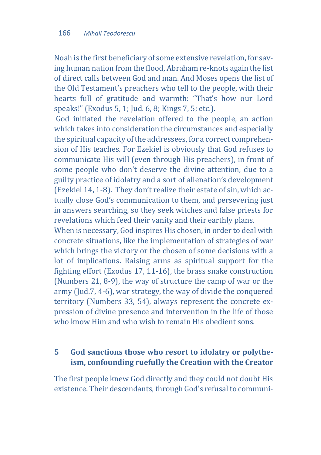Noah is the first beneficiary of some extensive revelation, for saving human nation from the flood, Abraham re-knots again the list of direct calls between God and man. And Moses opens the list of the Old Testament's preachers who tell to the people, with their hearts full of gratitude and warmth: "That's how our Lord speaks!" (Exodus 5, 1; Jud. 6, 8; Kings 7, 5; etc.).

God initiated the revelation offered to the people, an action which takes into consideration the circumstances and especially the spiritual capacity of the addressees, for a correct comprehension of His teaches. For Ezekiel is obviously that God refuses to communicate His will (even through His preachers), in front of some people who don't deserve the divine attention, due to a guilty practice of idolatry and a sort of alienation's development (Ezekiel 14, 1-8). They don't realize their estate of sin, which actually close God's communication to them, and persevering just in answers searching, so they seek witches and false priests for revelations which feed their vanity and their earthly plans.

When is necessary, God inspires His chosen, in order to deal with concrete situations, like the implementation of strategies of war which brings the victory or the chosen of some decisions with a lot of implications. Raising arms as spiritual support for the fighting effort (Exodus 17, 11-16), the brass snake construction (Numbers 21, 8-9), the way of structure the camp of war or the army (Jud.7, 4-6), war strategy, the way of divide the conquered territory (Numbers 33, 54), always represent the concrete expression of divine presence and intervention in the life of those who know Him and who wish to remain His obedient sons.

#### **5 God sanctions those who resort to idolatry or polytheism, confounding ruefully the Creation with the Creator**

The first people knew God directly and they could not doubt His existence. Their descendants, through God's refusal to communi-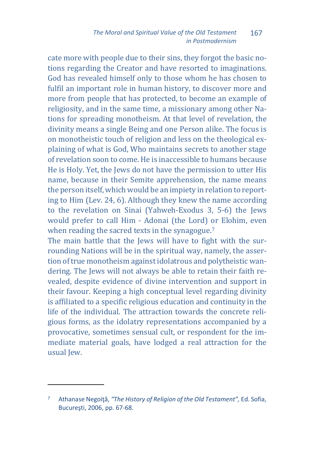#### *The Moral and Spiritual Value of the Old Testament in Postmodernism* 167

cate more with people due to their sins, they forgot the basic notions regarding the Creator and have resorted to imaginations. God has revealed himself only to those whom he has chosen to fulfil an important role in human history, to discover more and more from people that has protected, to become an example of religiosity, and in the same time, a missionary among other Nations for spreading monotheism. At that level of revelation, the divinity means a single Being and one Person alike. The focus is on monotheistic touch of religion and less on the theological explaining of what is God, Who maintains secrets to another stage of revelation soon to come. He is inaccessible to humans because He is Holy. Yet, the Jews do not have the permission to utter His name, because in their Semite apprehension, the name means the person itself, which would be an impiety in relation to reporting to Him (Lev. 24, 6). Although they knew the name according to the revelation on Sinai (Yahweh-Exodus 3, 5-6) the Jews would prefer to call Him - Adonai (the Lord) or Elohim, even when reading the sacred texts in the synagogue.<sup>[7](#page-8-0)</sup>

The main battle that the Jews will have to fight with the surrounding Nations will be in the spiritual way, namely, the assertion of true monotheism against idolatrous and polytheistic wandering. The Jews will not always be able to retain their faith revealed, despite evidence of divine intervention and support in their favour. Keeping a high conceptual level regarding divinity is affiliated to a specific religious education and continuity in the life of the individual. The attraction towards the concrete religious forms, as the idolatry representations accompanied by a provocative, sometimes sensual cult, or respondent for the immediate material goals, have lodged a real attraction for the usual Jew.

<span id="page-8-0"></span><sup>7</sup> Athanase Negoiţă, *"The History of Religion of the Old Testament",* Ed. Sofia, Bucureşti, 2006, pp. 67-68.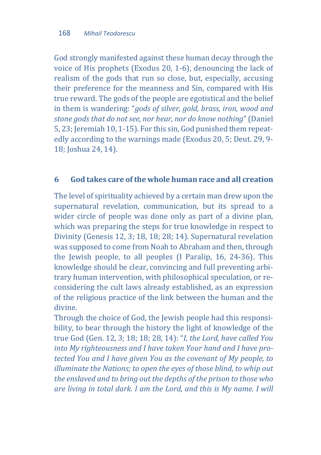God strongly manifested against these human decay through the voice of His prophets (Exodus 20, 1-6), denouncing the lack of realism of the gods that run so close, but, especially, accusing their preference for the meanness and Sin, compared with His true reward. The gods of the people are egotistical and the belief in them is wandering: "*gods of silver, gold, brass, iron, wood and stone gods that do not see, nor hear, nor do know nothing*" (Daniel 5, 23; Jeremiah 10, 1-15). For this sin, God punished them repeatedly according to the warnings made (Exodus 20, 5; Deut. 29, 9- 18; Joshua 24, 14).

#### **6 God takes care of the whole human race and all creation**

The level of spirituality achieved by a certain man drew upon the supernatural revelation, communication, but its spread to a wider circle of people was done only as part of a divine plan, which was preparing the steps for true knowledge in respect to Divinity (Genesis 12, 3; 18, 18; 28; 14). Supernatural revelation was supposed to come from Noah to Abraham and then, through the Jewish people, to all peoples (I Paralip, 16, 24-36). This knowledge should be clear, convincing and full preventing arbitrary human intervention, with philosophical speculation, or reconsidering the cult laws already established, as an expression of the religious practice of the link between the human and the divine.

Through the choice of God, the Jewish people had this responsibility, to bear through the history the light of knowledge of the true God (Gen. 12, 3; 18; 18; 28, 14): "*I, the Lord, have called You into My righteousness and I have taken Your hand and I have protected You and I have given You as the covenant of My people, to illuminate the Nations; to open the eyes of those blind, to whip out the enslaved and to bring out the depths of the prison to those who are living in total dark. I am the Lord, and this is My name. I will*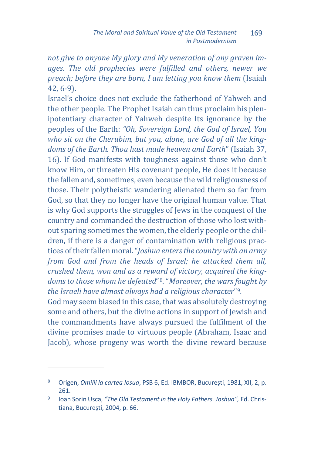*not give to anyone My glory and My veneration of any graven images. The old prophecies were fulfilled and others, newer we preach; before they are born, I am letting you know them* (Isaiah 42, 6-9).

Israel's choice does not exclude the fatherhood of Yahweh and the other people. The Prophet Isaiah can thus proclaim his plenipotentiary character of Yahweh despite Its ignorance by the peoples of the Earth: *"Oh, Sovereign Lord, the God of Israel, You who sit on the Cherubim, but you, alone, are God of all the kingdoms of the Earth. Thou hast made heaven and Earth*" (Isaiah 37, 16). If God manifests with toughness against those who don't know Him, or threaten His covenant people, He does it because the fallen and, sometimes, even because the wild religiousness of those. Their polytheistic wandering alienated them so far from God, so that they no longer have the original human value. That is why God supports the struggles of Jews in the conquest of the country and commanded the destruction of those who lost without sparing sometimes the women, the elderly people or the children, if there is a danger of contamination with religious practices of their fallen moral. "*Joshua enters the country with an army from God and from the heads of Israel; he attacked them all, crushed them, won and as a reward of victory, acquired the kingdoms to those whom he defeated*"[8.](#page-10-0) "*Moreover, the wars fought by the Israeli have almost always had a religious character*"[9](#page-10-1).

God may seem biased in this case, that was absolutely destroying some and others, but the divine actions in support of Jewish and the commandments have always pursued the fulfilment of the divine promises made to virtuous people (Abraham, Isaac and Jacob), whose progeny was worth the divine reward because

<span id="page-10-0"></span><sup>8</sup> Origen, *Omilii la cartea Iosua*, PSB 6, Ed. IBMBOR, Bucureşti, 1981, XII, 2, p. 261.

<span id="page-10-1"></span><sup>9</sup> Ioan Sorin Usca, *"The Old Testament in the Holy Fathers. Joshua",* Ed. Christiana, Bucureşti, 2004, p. 66.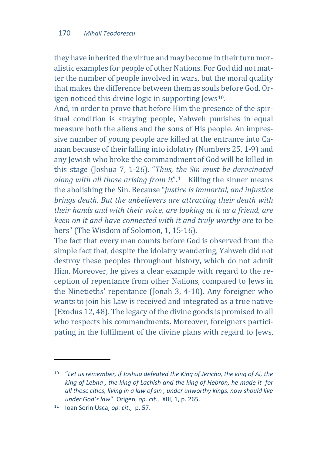they have inherited the virtue and may become in their turn moralistic examples for people of other Nations. For God did not matter the number of people involved in wars, but the moral quality that makes the difference between them as souls before God. Origen noticed this divine logic in supporting Jews<sup>10</sup>.

And, in order to prove that before Him the presence of the spiritual condition is straying people, Yahweh punishes in equal measure both the aliens and the sons of His people. An impressive number of young people are killed at the entrance into Canaan because of their falling into idolatry (Numbers 25, 1-9) and any Jewish who broke the commandment of God will be killed in this stage (Joshua 7, 1-26). "*Thus, the Sin must be deracinated along with all those arising from it*".[11](#page-11-1) Killing the sinner means the abolishing the Sin. Because "*justice is immortal, and injustice brings death. But the unbelievers are attracting their death with their hands and with their voice, are looking at it as a friend, are keen on it and have connected with it and truly worthy are* to be hers" (The Wisdom of Solomon, 1, 15-16).

The fact that every man counts before God is observed from the simple fact that, despite the idolatry wandering, Yahweh did not destroy these peoples throughout history, which do not admit Him. Moreover, he gives a clear example with regard to the reception of repentance from other Nations, compared to Jews in the Ninetieths' repentance (Jonah 3, 4-10). Any foreigner who wants to join his Law is received and integrated as a true native (Exodus 12, 48). The legacy of the divine goods is promised to all who respects his commandments. Moreover, foreigners participating in the fulfilment of the divine plans with regard to Jews,

<span id="page-11-0"></span><sup>10</sup> "*Let us remember, if Joshua defeated the King of Jericho, the king of Ai, the king of Lebna , the king of Lachish and the king of Hebron, he made it for all those cities, living in a law of sin , under unworthy kings, now should live under God's law*". Origen, *op. cit*., XIII, 1, p. 265.

<span id="page-11-1"></span><sup>11</sup> Ioan Sorin Usca, *op. cit*., p. 57.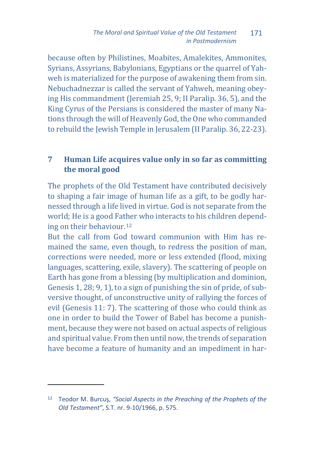because often by Philistines, Moabites, Amalekites, Ammonites, Syrians, Assyrians, Babylonians, Egyptians or the quarrel of Yahweh is materialized for the purpose of awakening them from sin. Nebuchadnezzar is called the servant of Yahweh, meaning obeying His commandment (Jeremiah 25, 9; II Paralip. 36, 5), and the King Cyrus of the Persians is considered the master of many Nations through the will of Heavenly God, the One who commanded to rebuild the Jewish Temple in Jerusalem (II Paralip. 36, 22-23).

## **7 Human Life acquires value only in so far as committing the moral good**

The prophets of the Old Testament have contributed decisively to shaping a fair image of human life as a gift, to be godly harnessed through a life lived in virtue. God is not separate from the world; He is a good Fat[he](#page-12-0)r who interacts to his children depending on their behaviour.12

But the call from God toward communion with Him has remained the same, even though, to redress the position of man, corrections were needed, more or less extended (flood, mixing languages, scattering, exile, slavery). The scattering of people on Earth has gone from a blessing (by multiplication and dominion, Genesis 1, 28; 9, 1), to a sign of punishing the sin of pride, of subversive thought, of unconstructive unity of rallying the forces of evil (Genesis 11: 7). The scattering of those who could think as one in order to build the Tower of Babel has become a punishment, because they were not based on actual aspects of religious and spiritual value. From then until now, the trends of separation have become a feature of humanity and an impediment in har-

<span id="page-12-0"></span><sup>12</sup> Teodor M. Burcuş, *"Social Aspects in the Preaching of the Prophets of the Old Testament"*, S.T. nr. 9-10/1966, p. 575.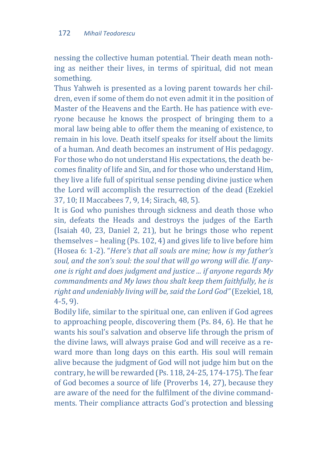nessing the collective human potential. Their death mean nothing as neither their lives, in terms of spiritual, did not mean something.

Thus Yahweh is presented as a loving parent towards her children, even if some of them do not even admit it in the position of Master of the Heavens and the Earth. He has patience with everyone because he knows the prospect of bringing them to a moral law being able to offer them the meaning of existence, to remain in his love. Death itself speaks for itself about the limits of a human. And death becomes an instrument of His pedagogy. For those who do not understand His expectations, the death becomes finality of life and Sin, and for those who understand Him, they live a life full of spiritual sense pending divine justice when the Lord will accomplish the resurrection of the dead (Ezekiel 37, 10; II Maccabees 7, 9, 14; Sirach, 48, 5).

It is God who punishes through sickness and death those who sin, defeats the Heads and destroys the judges of the Earth (Isaiah 40, 23, Daniel 2, 21), but he brings those who repent themselves – healing (Ps. 102, 4) and gives life to live before him (Hosea 6: 1-2). "*Here's that all souls are mine; how is my father's soul, and the son's soul: the soul that will go wrong will die. If anyone is right and does judgment and justice ... if anyone regards My commandments and My laws thou shalt keep them faithfully, he is right and undeniably living will be, said the Lord God"* (Ezekiel, 18, 4-5, 9).

Bodily life, similar to the spiritual one, can enliven if God agrees to approaching people, discovering them (Ps. 84, 6). He that he wants his soul's salvation and observe life through the prism of the divine laws, will always praise God and will receive as a reward more than long days on this earth. His soul will remain alive because the judgment of God will not judge him but on the contrary, he will be rewarded (Ps. 118, 24-25, 174-175). The fear of God becomes a source of life (Proverbs 14, 27), because they are aware of the need for the fulfilment of the divine commandments. Their compliance attracts God's protection and blessing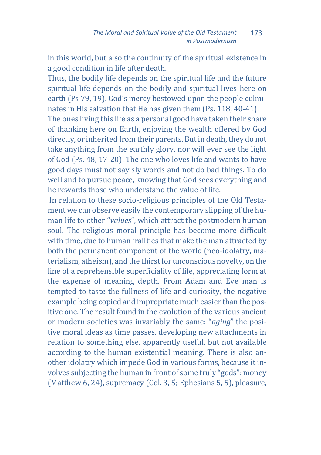in this world, but also the continuity of the spiritual existence in a good condition in life after death.

Thus, the bodily life depends on the spiritual life and the future spiritual life depends on the bodily and spiritual lives here on earth (Ps 79, 19). God's mercy bestowed upon the people culminates in His salvation that He has given them (Ps. 118, 40-41).

The ones living this life as a personal good have taken their share of thanking here on Earth, enjoying the wealth offered by God directly, or inherited from their parents. But in death, they do not take anything from the earthly glory, nor will ever see the light of God (Ps. 48, 17-20). The one who loves life and wants to have good days must not say sly words and not do bad things. To do well and to pursue peace, knowing that God sees everything and he rewards those who understand the value of life.

In relation to these socio-religious principles of the Old Testament we can observe easily the contemporary slipping of the human life to other "*values*", which attract the postmodern human soul. The religious moral principle has become more difficult with time, due to human frailties that make the man attracted by both the permanent component of the world (neo-idolatry, materialism, atheism), and the thirst for unconscious novelty, on the line of a reprehensible superficiality of life, appreciating form at the expense of meaning depth. From Adam and Eve man is tempted to taste the fullness of life and curiosity, the negative example being copied and impropriate much easier than the positive one. The result found in the evolution of the various ancient or modern societies was invariably the same: "*aging*" the positive moral ideas as time passes, developing new attachments in relation to something else, apparently useful, but not available according to the human existential meaning. There is also another idolatry which impede God in various forms, because it involves subjecting the human in front of some truly "gods": money (Matthew 6, 24), supremacy (Col. 3, 5; Ephesians 5, 5), pleasure,